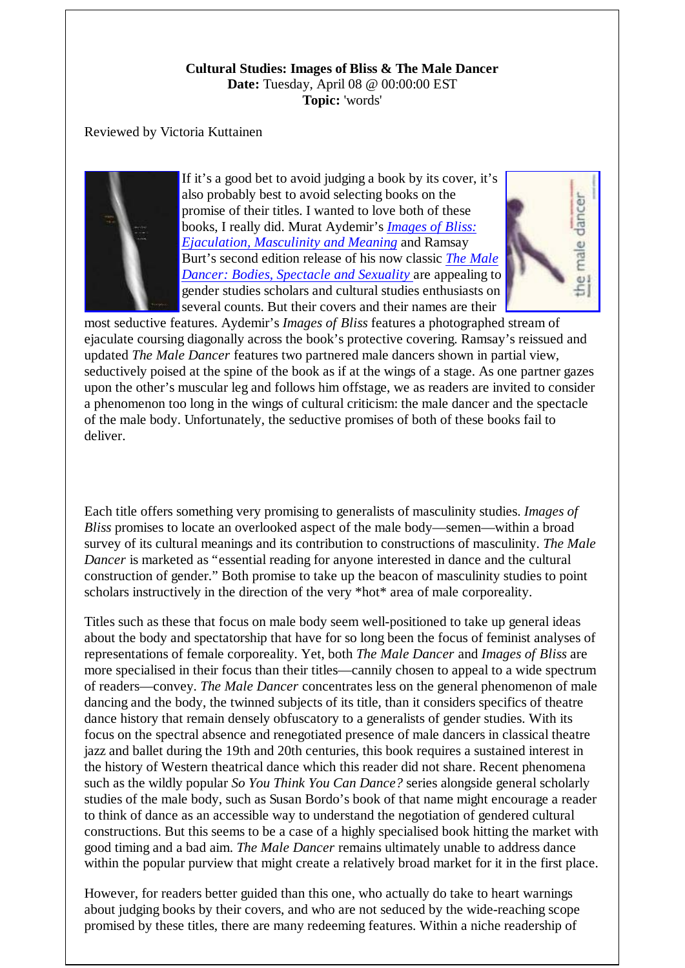## **Cultural Studies: Images of Bliss & The Male Dancer Date:** Tuesday, April 08 @ 00:00:00 EST **Topic:** 'words'

## Reviewed by Victoria Kuttainen



If it's a good bet to avoid judging a book by its cover, it's also probably best to avoid selecting books on the promise of their titles. I wanted to love both of these books, I really did. Murat Aydemir's *Images of Bliss: Ejaculation, Masculinity and Meaning* and Ramsay Burt's second edition release of his now classic *The Male Dancer: Bodies, Spectacle and Sexuality* are appealing to gender studies scholars and cultural studies enthusiasts on several counts. But their covers and their names are their



most seductive features. Aydemir's *Images of Bliss* features a photographed stream of ejaculate coursing diagonally across the book's protective covering. Ramsay's reissued and updated *The Male Dancer* features two partnered male dancers shown in partial view, seductively poised at the spine of the book as if at the wings of a stage. As one partner gazes upon the other's muscular leg and follows him offstage, we as readers are invited to consider a phenomenon too long in the wings of cultural criticism: the male dancer and the spectacle of the male body. Unfortunately, the seductive promises of both of these books fail to deliver.

Each title offers something very promising to generalists of masculinity studies. *Images of Bliss* promises to locate an overlooked aspect of the male body—semen—within a broad survey of its cultural meanings and its contribution to constructions of masculinity. *The Male Dancer* is marketed as "essential reading for anyone interested in dance and the cultural construction of gender." Both promise to take up the beacon of masculinity studies to point scholars instructively in the direction of the very \*hot\* area of male corporeality.

Titles such as these that focus on male body seem well-positioned to take up general ideas about the body and spectatorship that have for so long been the focus of feminist analyses of representations of female corporeality. Yet, both *The Male Dancer* and *Images of Bliss* are more specialised in their focus than their titles—cannily chosen to appeal to a wide spectrum of readers—convey. *The Male Dancer* concentrates less on the general phenomenon of male dancing and the body, the twinned subjects of its title, than it considers specifics of theatre dance history that remain densely obfuscatory to a generalists of gender studies. With its focus on the spectral absence and renegotiated presence of male dancers in classical theatre jazz and ballet during the 19th and 20th centuries, this book requires a sustained interest in the history of Western theatrical dance which this reader did not share. Recent phenomena such as the wildly popular *So You Think You Can Dance?* series alongside general scholarly studies of the male body, such as Susan Bordo's book of that name might encourage a reader to think of dance as an accessible way to understand the negotiation of gendered cultural constructions. But this seems to be a case of a highly specialised book hitting the market with good timing and a bad aim. *The Male Dancer* remains ultimately unable to address dance within the popular purview that might create a relatively broad market for it in the first place.

However, for readers better guided than this one, who actually do take to heart warnings about judging books by their covers, and who are not seduced by the wide-reaching scope promised by these titles, there are many redeeming features. Within a niche readership of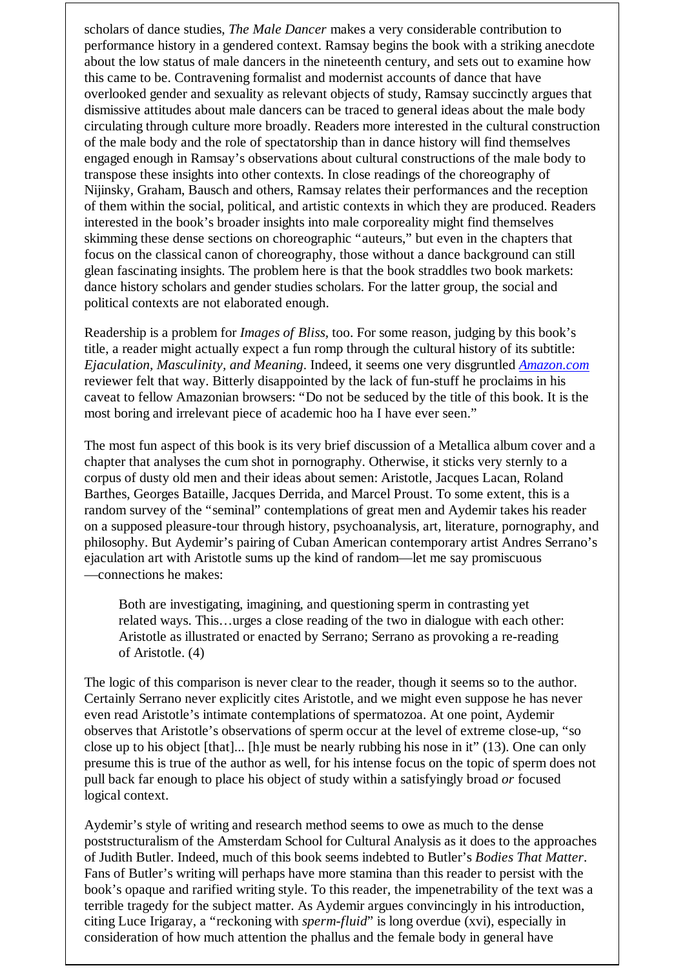scholars of dance studies, *The Male Dancer* makes a very considerable contribution to performance history in a gendered context. Ramsay begins the book with a striking anecdote about the low status of male dancers in the nineteenth century, and sets out to examine how this came to be. Contravening formalist and modernist accounts of dance that have overlooked gender and sexuality as relevant objects of study, Ramsay succinctly argues that dismissive attitudes about male dancers can be traced to general ideas about the male body circulating through culture more broadly. Readers more interested in the cultural construction of the male body and the role of spectatorship than in dance history will find themselves engaged enough in Ramsay's observations about cultural constructions of the male body to transpose these insights into other contexts. In close readings of the choreography of Nijinsky, Graham, Bausch and others, Ramsay relates their performances and the reception of them within the social, political, and artistic contexts in which they are produced. Readers interested in the book's broader insights into male corporeality might find themselves skimming these dense sections on choreographic "auteurs," but even in the chapters that focus on the classical canon of choreography, those without a dance background can still glean fascinating insights. The problem here is that the book straddles two book markets: dance history scholars and gender studies scholars. For the latter group, the social and political contexts are not elaborated enough.

Readership is a problem for *Images of Bliss,* too. For some reason, judging by this book's title, a reader might actually expect a fun romp through the cultural history of its subtitle: *Ejaculation, Masculinity, and Meaning*. Indeed, it seems one very disgruntled *Amazon.com* reviewer felt that way. Bitterly disappointed by the lack of fun-stuff he proclaims in his caveat to fellow Amazonian browsers: "Do not be seduced by the title of this book. It is the most boring and irrelevant piece of academic hoo ha I have ever seen."

The most fun aspect of this book is its very brief discussion of a Metallica album cover and a chapter that analyses the cum shot in pornography. Otherwise, it sticks very sternly to a corpus of dusty old men and their ideas about semen: Aristotle, Jacques Lacan, Roland Barthes, Georges Bataille, Jacques Derrida, and Marcel Proust. To some extent, this is a random survey of the "seminal" contemplations of great men and Aydemir takes his reader on a supposed pleasure-tour through history, psychoanalysis, art, literature, pornography, and philosophy. But Aydemir's pairing of Cuban American contemporary artist Andres Serrano's ejaculation art with Aristotle sums up the kind of random—let me say promiscuous —connections he makes:

Both are investigating, imagining, and questioning sperm in contrasting yet related ways. This…urges a close reading of the two in dialogue with each other: Aristotle as illustrated or enacted by Serrano; Serrano as provoking a re-reading of Aristotle. (4)

The logic of this comparison is never clear to the reader, though it seems so to the author. Certainly Serrano never explicitly cites Aristotle, and we might even suppose he has never even read Aristotle's intimate contemplations of spermatozoa. At one point, Aydemir observes that Aristotle's observations of sperm occur at the level of extreme close-up, "so close up to his object [that]... [h]e must be nearly rubbing his nose in it" (13). One can only presume this is true of the author as well, for his intense focus on the topic of sperm does not pull back far enough to place his object of study within a satisfyingly broad *or* focused logical context.

Aydemir's style of writing and research method seems to owe as much to the dense poststructuralism of the Amsterdam School for Cultural Analysis as it does to the approaches of Judith Butler. Indeed, much of this book seems indebted to Butler's *Bodies That Matter.* Fans of Butler's writing will perhaps have more stamina than this reader to persist with the book's opaque and rarified writing style. To this reader, the impenetrability of the text was a terrible tragedy for the subject matter. As Aydemir argues convincingly in his introduction, citing Luce Irigaray, a "reckoning with *sperm-fluid*" is long overdue (xvi), especially in consideration of how much attention the phallus and the female body in general have